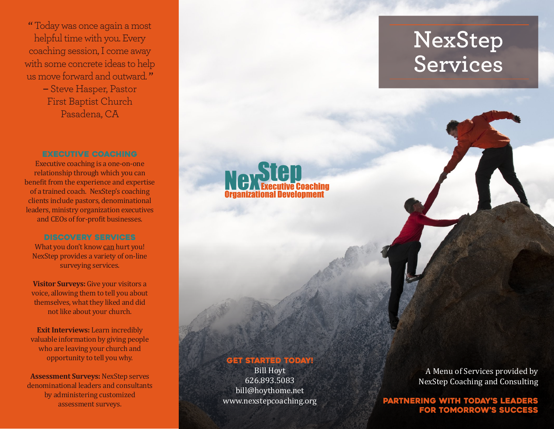**"** Today was once again a most helpful time with you. Every coaching session, I come away with some concrete ideas to help us move forward and outward. **" –** Steve Hasper, Pastor

First Baptist Church Pasadena, CA

# **EXECUTIVE COACHING**

Executive coaching is a one-on-one relationship through which you can benefit from the experience and expertise of a trained coach. NexStep's coaching clients include pastors, denominational leaders, ministry organization executives and CEOs of for-profit businesses.

#### discovery services

What you don't know can hurt you! NexStep provides a variety of on-line surveying services.

**Visitor Surveys:** Give your visitors a voice, allowing them to tell you about themselves, what they liked and did not like about your church.

**Exit Interviews:** Learn incredibly valuable information by giving people who are leaving your church and opportunity to tell you why.

**Assessment Surveys:** NexStep serves denominational leaders and consultants by administering customized assessment surveys.

# **Next**

### **GET STARTED TODAY!**

Bill Hoyt 626.893.5083 bill@hoythome.net www.nexstepcoaching.org

A Menu of Services provided by NexStep Coaching and Consulting

Partnering with today's leaders for tomorrow's success

# **NexStep Services**